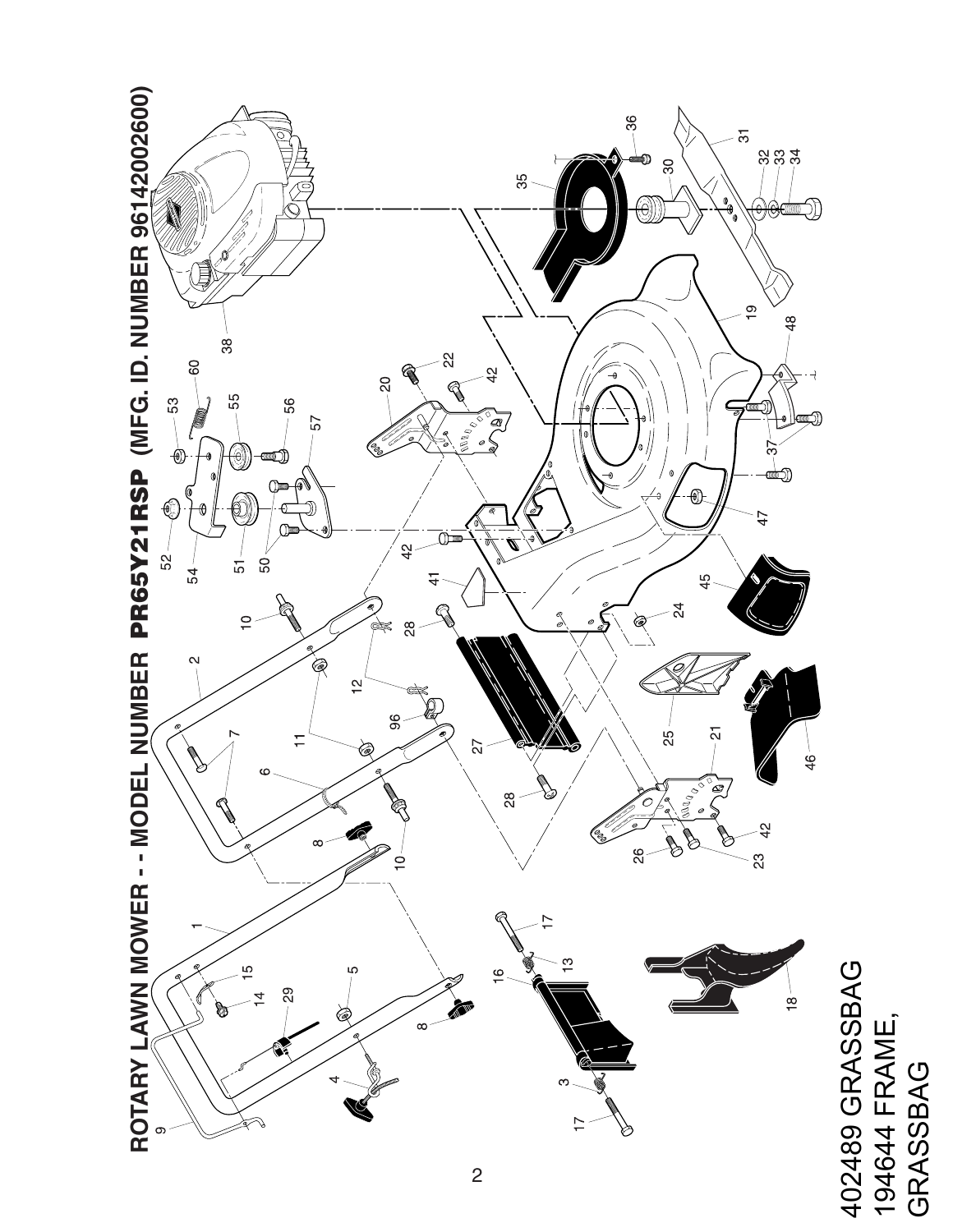

402489 GRASSBAG 402489 GRASSBAG<br>101611 FBANF 194644 FRAME,<br>GRASSBAG 194644 FRAME, GRASSBAG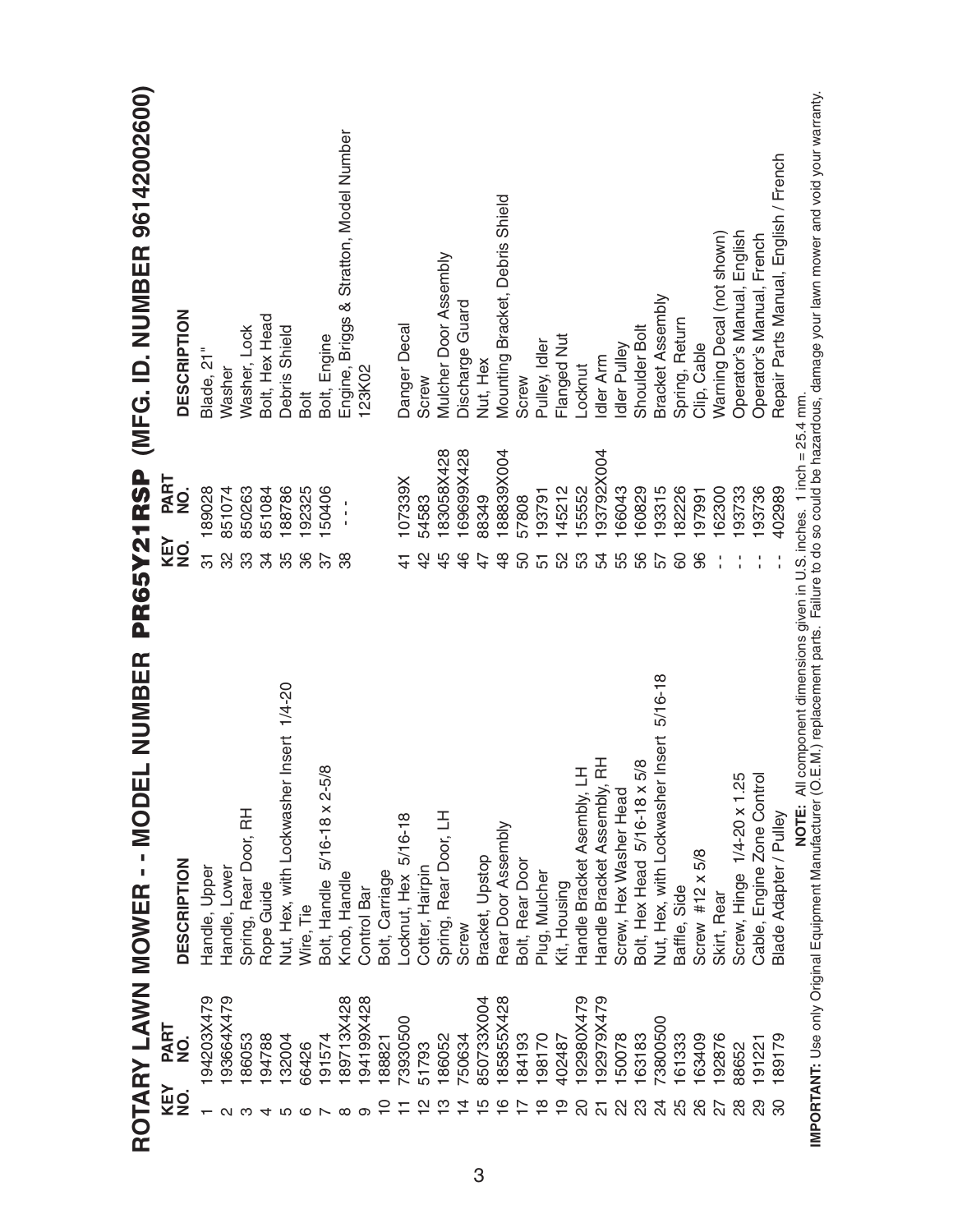|                    |                    | NUMBER<br>ROTARY LAWN MOWER - - MODEL                                  | PR65Y21RSP                          | (MFG. ID. NUMBER 96142002600)           |
|--------------------|--------------------|------------------------------------------------------------------------|-------------------------------------|-----------------------------------------|
| <b>KEY<br/>NO.</b> | <b>PART</b><br>NO. | DESCRIPTION                                                            | PART<br>NO.<br>KEY<br>$\frac{1}{2}$ | <b>DESCRIPTION</b>                      |
|                    | 194203X479         | Handle, Upper                                                          | 189028<br>5                         | Blade, 21"                              |
| N                  | 193664X479         | Handle, Lower                                                          | 851074<br>32                        | Washer                                  |
| ო                  | 186053             | Spring, Rear Door, RH                                                  | 850263<br>ကွ                        | Washer, Lock                            |
|                    | 194788             | Rope Guide                                                             | 851084<br>34                        | Bolt, Hex Head                          |
|                    | 132004             | Nut, Hex, with Lockwasher Insert 1/4-20                                | 188786<br>35                        | Debris Shield                           |
|                    | 66426              | Wire, Tie                                                              | 192325<br>86                        | Bolt                                    |
|                    | 191574             | Bolt, Handle 5/16-18 x 2-5/8                                           | 150406<br>75                        | Bolt, Engine                            |
| ∞                  | 189713X428         | Knob, Handle                                                           | J.<br>$\frac{1}{1}$<br>အိ           | Engine, Briggs & Stratton, Model Number |
| တ                  | 194199X428         | Control Bar                                                            |                                     | 123K02                                  |
| 0                  | 188821             | Bolt, Carriage                                                         |                                     |                                         |
|                    | 73930500           | -ocknut, Hex 5/16-18                                                   | 107339X<br>$\frac{4}{3}$            | Danger Decal                            |
| $\mathbf{\Omega}$  | 51793              | Cotter, Hairpin                                                        | 54583<br>$\frac{2}{3}$              | Screw                                   |
| ო                  | 186052             | Spring, Rear Door, LH                                                  | 83058X428<br>45                     | Mulcher Door Assembly                   |
| 4                  | 750634             | Screw                                                                  | 169699X428<br>46                    | Discharge Guard                         |
| ഥ                  | 850733X004         | Bracket, Upstop                                                        | 88349<br>47                         | Nut, Hex                                |
| ဖ                  | 185855X428         | Rear Door Assembly                                                     | 188839X004<br>$\frac{8}{4}$         | Mounting Bracket, Debris Shield         |
|                    | 184193             | Bolt, Rear Door                                                        | 57808<br>50                         | Screw                                   |
|                    | 198170             | Plug, Mulcher                                                          | 193791<br>51                        | Pulley, Idler                           |
|                    | 402487             | Kit, Housing                                                           | 145212<br>52                        | Flanged Nut                             |
|                    | 192980X479         | Handle Bracket Asembly, LH                                             | 155552<br>53                        | Locknut                                 |
| 24                 | 192979X479         | Handle Bracket Assembly, RH                                            | 193792X004<br>54                    | Idler Arm                               |
| 22                 | 150078             | Screw, Hex Washer Head                                                 | 166043<br>55                        | Idler Pulley                            |
| 23                 | 163183             | Bolt, Hex Head 5/16-18 x 5/8                                           | 160829<br>56                        | Shoulder Bolt                           |
| 24                 | 73800500           | Nut, Hex, with Lockwasher Insert 5/16-18                               | 93315<br>55                         | Bracket Assembly                        |
| 25                 | 161333             | Baffle, Side                                                           | 82226<br>င္ပ                        | Spring, Return                          |
| 26                 | 163409             | Screw #12 $\times$ 5/8                                                 | 197991<br>96                        | Clip, Cable                             |
| 27                 | 192876             | Skirt, Rear                                                            | 162300                              | Warning Decal (not shown)               |
| 28                 | 88652              | Screw, Hinge 1/4-20 x 1.25                                             | 193733                              | Operator's Manual, English              |
|                    | 191221             | Cable, Engine Zone Control                                             | 193736                              | Operator's Manual, French               |
|                    | 189179             | Blade Adapter / Pulley                                                 | 402989                              | Repair Parts Manual, English / French   |
|                    |                    | NOTE: All component dimensions given in U.S. inches. 1 inch = 25.4 mm. |                                     |                                         |

IMPORTANT: Use only Original Equipment Manufacturer (O.E.M.) replacement parts. Failure to do so could be hazardous, damage your lawn mower and void your warranty. **IMPORTANT:** Use only Original Equipment Manufacturer (O.E.M.) replacement parts. Failure to do so could be hazardous, damage your lawn mower and void your warranty.**NOTE:** All component dimensions given in U.S. inches. 1 inch = 25.4 mm.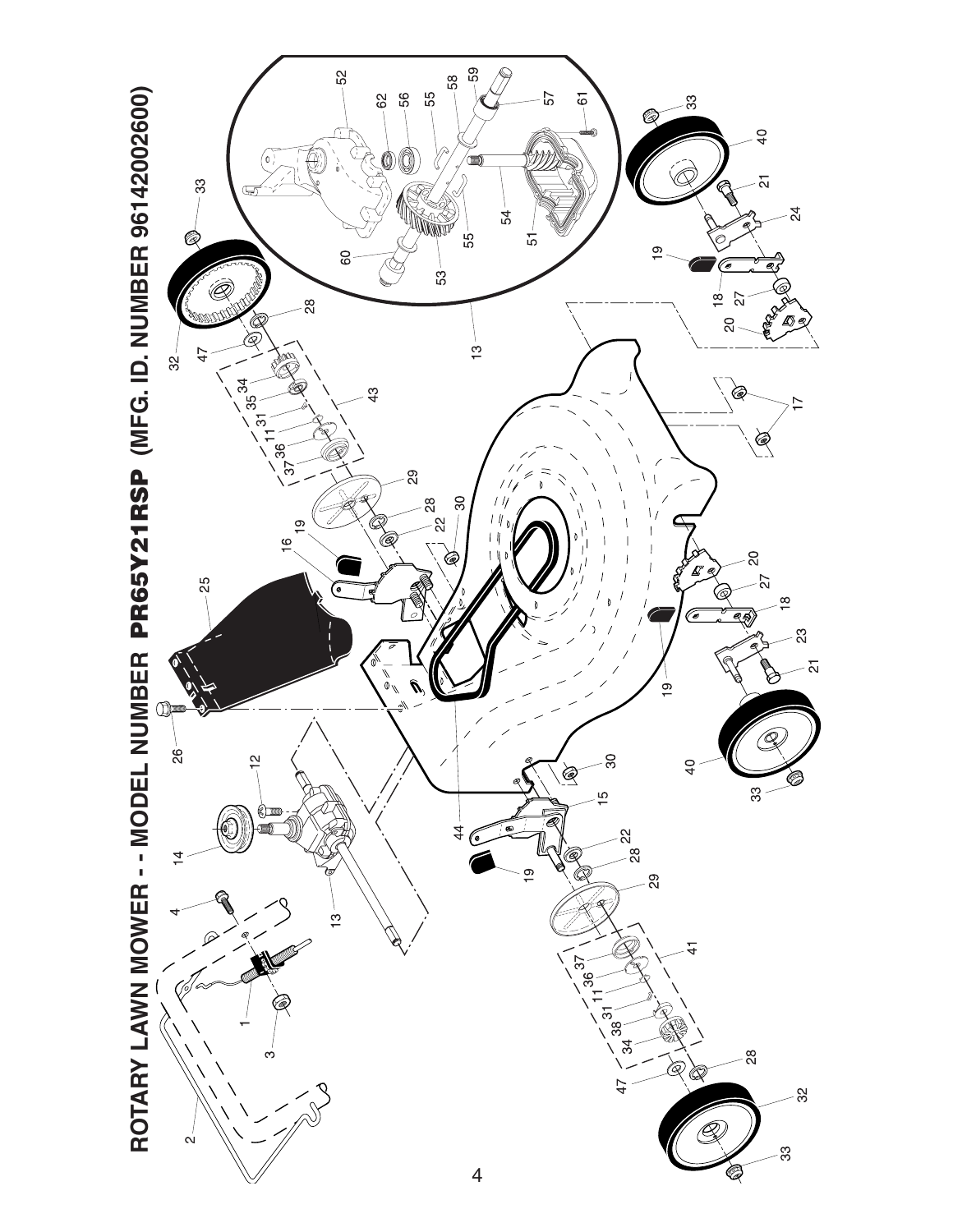